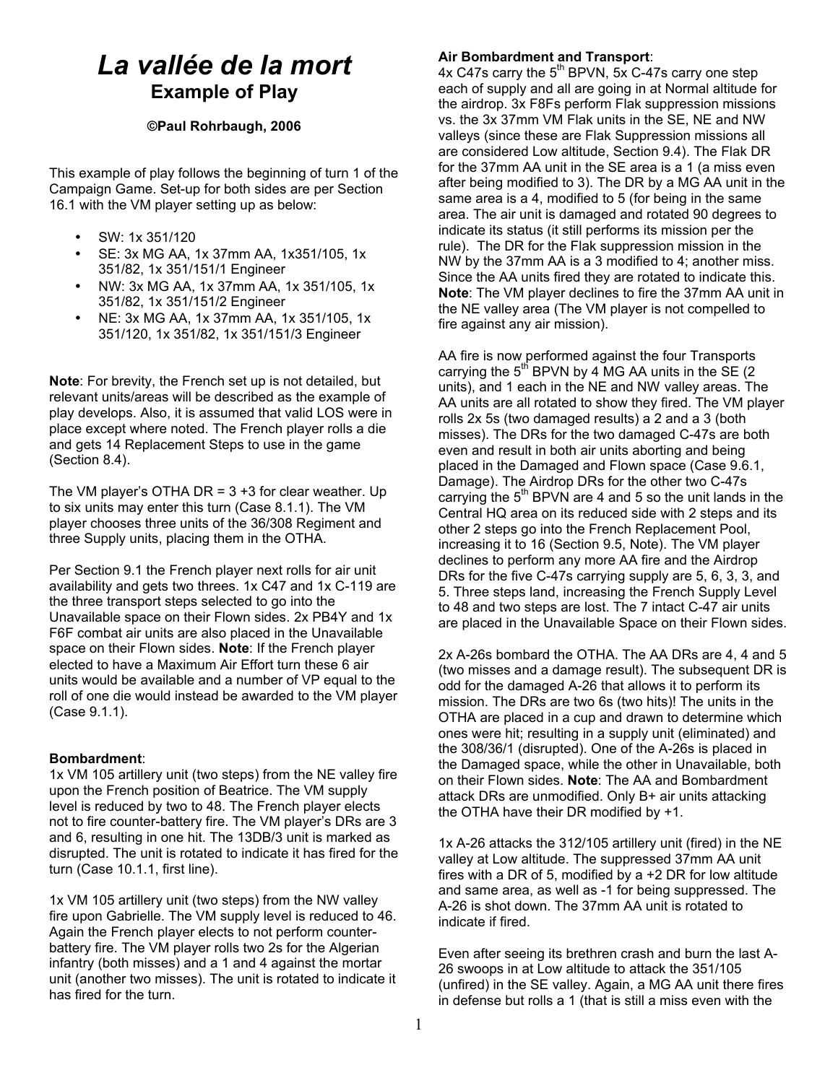# *La vallée de la mort* **Example of Play**

## **©Paul Rohrbaugh, 2006**

This example of play follows the beginning of turn 1 of the Campaign Game. Set-up for both sides are per Section 16.1 with the VM player setting up as below:

- SW: 1x 351/120
- SE: 3x MG AA, 1x 37mm AA, 1x351/105, 1x 351/82, 1x 351/151/1 Engineer
- NW: 3x MG AA, 1x 37mm AA, 1x 351/105, 1x 351/82, 1x 351/151/2 Engineer
- NE: 3x MG AA, 1x 37mm AA, 1x 351/105, 1x 351/120, 1x 351/82, 1x 351/151/3 Engineer

**Note**: For brevity, the French set up is not detailed, but relevant units/areas will be described as the example of play develops. Also, it is assumed that valid LOS were in place except where noted. The French player rolls a die and gets 14 Replacement Steps to use in the game (Section 8.4).

The VM player's OTHA DR =  $3 + 3$  for clear weather. Up to six units may enter this turn (Case 8.1.1). The VM player chooses three units of the 36/308 Regiment and three Supply units, placing them in the OTHA.

Per Section 9.1 the French player next rolls for air unit availability and gets two threes. 1x C47 and 1x C-119 are the three transport steps selected to go into the Unavailable space on their Flown sides. 2x PB4Y and 1x F6F combat air units are also placed in the Unavailable space on their Flown sides. **Note**: If the French player elected to have a Maximum Air Effort turn these 6 air units would be available and a number of VP equal to the roll of one die would instead be awarded to the VM player (Case 9.1.1).

# **Bombardment**:

1x VM 105 artillery unit (two steps) from the NE valley fire upon the French position of Beatrice. The VM supply level is reduced by two to 48. The French player elects not to fire counter-battery fire. The VM player's DRs are 3 and 6, resulting in one hit. The 13DB/3 unit is marked as disrupted. The unit is rotated to indicate it has fired for the turn (Case 10.1.1, first line).

1x VM 105 artillery unit (two steps) from the NW valley fire upon Gabrielle. The VM supply level is reduced to 46. Again the French player elects to not perform counterbattery fire. The VM player rolls two 2s for the Algerian infantry (both misses) and a 1 and 4 against the mortar unit (another two misses). The unit is rotated to indicate it has fired for the turn.

## **Air Bombardment and Transport**:

4x C47s carry the  $5<sup>th</sup>$  BPVN, 5x C-47s carry one step each of supply and all are going in at Normal altitude for the airdrop. 3x F8Fs perform Flak suppression missions vs. the 3x 37mm VM Flak units in the SE, NE and NW valleys (since these are Flak Suppression missions all are considered Low altitude, Section 9.4). The Flak DR for the 37mm AA unit in the SE area is a 1 (a miss even after being modified to 3). The DR by a MG AA unit in the same area is a 4, modified to 5 (for being in the same area. The air unit is damaged and rotated 90 degrees to indicate its status (it still performs its mission per the rule). The DR for the Flak suppression mission in the NW by the 37mm AA is a 3 modified to 4; another miss. Since the AA units fired they are rotated to indicate this. **Note**: The VM player declines to fire the 37mm AA unit in the NE valley area (The VM player is not compelled to fire against any air mission).

AA fire is now performed against the four Transports carrying the  $5<sup>th</sup>$  BPVN by 4 MG AA units in the SE (2) units), and 1 each in the NE and NW valley areas. The AA units are all rotated to show they fired. The VM player rolls 2x 5s (two damaged results) a 2 and a 3 (both misses). The DRs for the two damaged C-47s are both even and result in both air units aborting and being placed in the Damaged and Flown space (Case 9.6.1, Damage). The Airdrop DRs for the other two C-47s carrying the  $5<sup>th</sup>$  BPVN are 4 and 5 so the unit lands in the Central HQ area on its reduced side with 2 steps and its other 2 steps go into the French Replacement Pool, increasing it to 16 (Section 9.5, Note). The VM player declines to perform any more AA fire and the Airdrop DRs for the five C-47s carrying supply are 5, 6, 3, 3, and 5. Three steps land, increasing the French Supply Level to 48 and two steps are lost. The 7 intact C-47 air units are placed in the Unavailable Space on their Flown sides.

2x A-26s bombard the OTHA. The AA DRs are 4, 4 and 5 (two misses and a damage result). The subsequent DR is odd for the damaged A-26 that allows it to perform its mission. The DRs are two 6s (two hits)! The units in the OTHA are placed in a cup and drawn to determine which ones were hit; resulting in a supply unit (eliminated) and the 308/36/1 (disrupted). One of the A-26s is placed in the Damaged space, while the other in Unavailable, both on their Flown sides. **Note**: The AA and Bombardment attack DRs are unmodified. Only B+ air units attacking the OTHA have their DR modified by +1.

1x A-26 attacks the 312/105 artillery unit (fired) in the NE valley at Low altitude. The suppressed 37mm AA unit fires with a DR of 5, modified by a +2 DR for low altitude and same area, as well as -1 for being suppressed. The A-26 is shot down. The 37mm AA unit is rotated to indicate if fired.

Even after seeing its brethren crash and burn the last A-26 swoops in at Low altitude to attack the 351/105 (unfired) in the SE valley. Again, a MG AA unit there fires in defense but rolls a 1 (that is still a miss even with the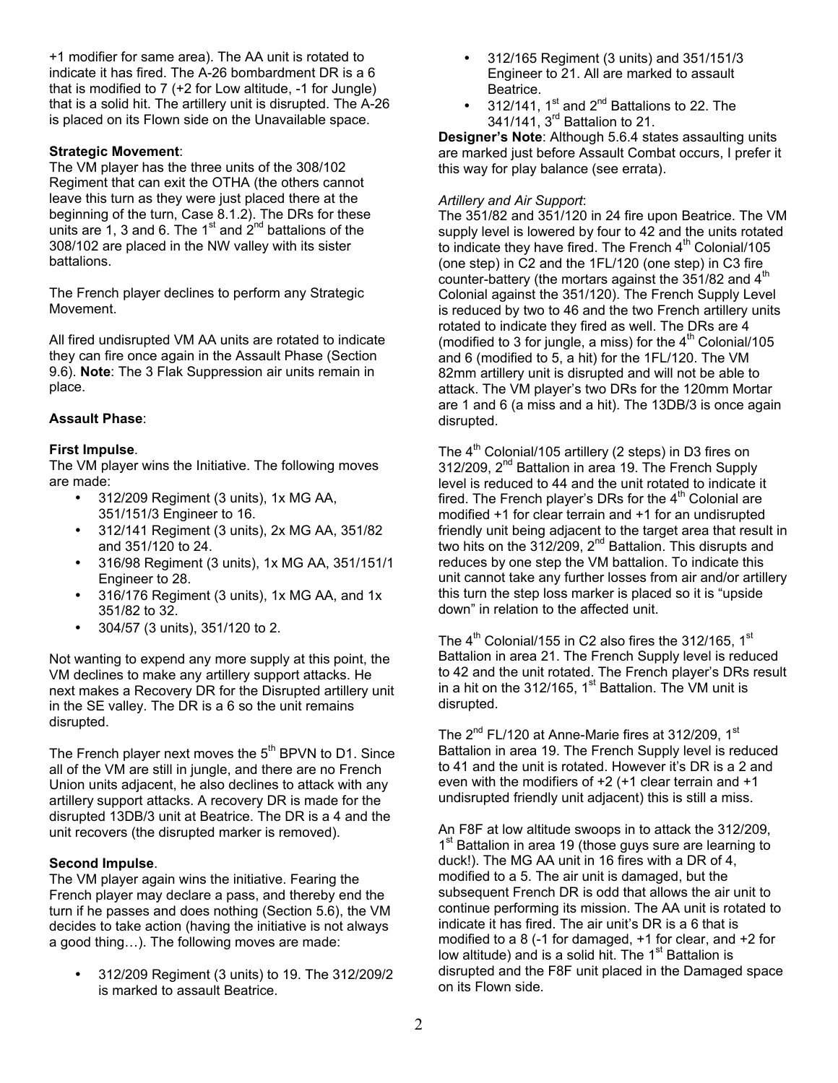+1 modifier for same area). The AA unit is rotated to indicate it has fired. The A-26 bombardment DR is a 6 that is modified to 7 (+2 for Low altitude, -1 for Jungle) that is a solid hit. The artillery unit is disrupted. The A-26 is placed on its Flown side on the Unavailable space.

## **Strategic Movement**:

The VM player has the three units of the 308/102 Regiment that can exit the OTHA (the others cannot leave this turn as they were just placed there at the beginning of the turn, Case 8.1.2). The DRs for these units are 1, 3 and 6. The 1<sup>st</sup> and  $2^{nd}$  battalions of the 308/102 are placed in the NW valley with its sister battalions.

The French player declines to perform any Strategic Movement.

All fired undisrupted VM AA units are rotated to indicate they can fire once again in the Assault Phase (Section 9.6). **Note**: The 3 Flak Suppression air units remain in place.

# **Assault Phase**:

# **First Impulse**.

The VM player wins the Initiative. The following moves are made:

- 312/209 Regiment (3 units), 1x MG AA, 351/151/3 Engineer to 16.
- 312/141 Regiment (3 units), 2x MG AA, 351/82 and 351/120 to 24.
- 316/98 Regiment (3 units), 1x MG AA, 351/151/1 Engineer to 28.
- 316/176 Regiment (3 units), 1x MG AA, and 1x 351/82 to 32.
- 304/57 (3 units), 351/120 to 2.

Not wanting to expend any more supply at this point, the VM declines to make any artillery support attacks. He next makes a Recovery DR for the Disrupted artillery unit in the SE valley. The DR is a 6 so the unit remains disrupted.

The French player next moves the  $5<sup>th</sup>$  BPVN to D1. Since all of the VM are still in jungle, and there are no French Union units adjacent, he also declines to attack with any artillery support attacks. A recovery DR is made for the disrupted 13DB/3 unit at Beatrice. The DR is a 4 and the unit recovers (the disrupted marker is removed).

### **Second Impulse**.

The VM player again wins the initiative. Fearing the French player may declare a pass, and thereby end the turn if he passes and does nothing (Section 5.6), the VM decides to take action (having the initiative is not always a good thing…). The following moves are made:

• 312/209 Regiment (3 units) to 19. The 312/209/2 is marked to assault Beatrice.

- 312/165 Regiment (3 units) and 351/151/3 Engineer to 21. All are marked to assault Beatrice.
- 312/141,  $1<sup>st</sup>$  and  $2<sup>nd</sup>$  Battalions to 22. The 341/141, 3rd Battalion to 21.

**Designer's Note**: Although 5.6.4 states assaulting units are marked just before Assault Combat occurs, I prefer it this way for play balance (see errata).

## *Artillery and Air Support*:

The 351/82 and 351/120 in 24 fire upon Beatrice. The VM supply level is lowered by four to 42 and the units rotated to indicate they have fired. The French  $4<sup>th</sup>$  Colonial/105 (one step) in C2 and the 1FL/120 (one step) in C3 fire counter-battery (the mortars against the  $351/82$  and  $4<sup>th</sup>$ Colonial against the 351/120). The French Supply Level is reduced by two to 46 and the two French artillery units rotated to indicate they fired as well. The DRs are 4 (modified to 3 for jungle, a miss) for the  $4<sup>th</sup>$  Colonial/105 and 6 (modified to 5, a hit) for the 1FL/120. The VM 82mm artillery unit is disrupted and will not be able to attack. The VM player's two DRs for the 120mm Mortar are 1 and 6 (a miss and a hit). The 13DB/3 is once again disrupted.

The  $4<sup>th</sup>$  Colonial/105 artillery (2 steps) in D3 fires on 312/209, 2<sup>nd</sup> Battalion in area 19. The French Supply level is reduced to 44 and the unit rotated to indicate it fired. The French player's DRs for the  $4<sup>th</sup>$  Colonial are modified +1 for clear terrain and +1 for an undisrupted friendly unit being adjacent to the target area that result in two hits on the  $312/209$ ,  $2<sup>nd</sup>$  Battalion. This disrupts and reduces by one step the VM battalion. To indicate this unit cannot take any further losses from air and/or artillery this turn the step loss marker is placed so it is "upside down" in relation to the affected unit.

The  $4<sup>th</sup>$  Colonial/155 in C2 also fires the 312/165, 1<sup>st</sup> Battalion in area 21. The French Supply level is reduced to 42 and the unit rotated. The French player's DRs result in a hit on the 312/165,  $1<sup>st</sup>$  Battalion. The VM unit is disrupted.

The  $2^{nd}$  FL/120 at Anne-Marie fires at 312/209, 1<sup>st</sup> Battalion in area 19. The French Supply level is reduced to 41 and the unit is rotated. However it's DR is a 2 and even with the modifiers of +2 (+1 clear terrain and +1 undisrupted friendly unit adjacent) this is still a miss.

An F8F at low altitude swoops in to attack the 312/209, 1<sup>st</sup> Battalion in area 19 (those guys sure are learning to duck!). The MG AA unit in 16 fires with a DR of 4, modified to a 5. The air unit is damaged, but the subsequent French DR is odd that allows the air unit to continue performing its mission. The AA unit is rotated to indicate it has fired. The air unit's DR is a 6 that is modified to a 8 (-1 for damaged, +1 for clear, and +2 for low altitude) and is a solid hit. The  $1<sup>st</sup>$  Battalion is disrupted and the F8F unit placed in the Damaged space on its Flown side.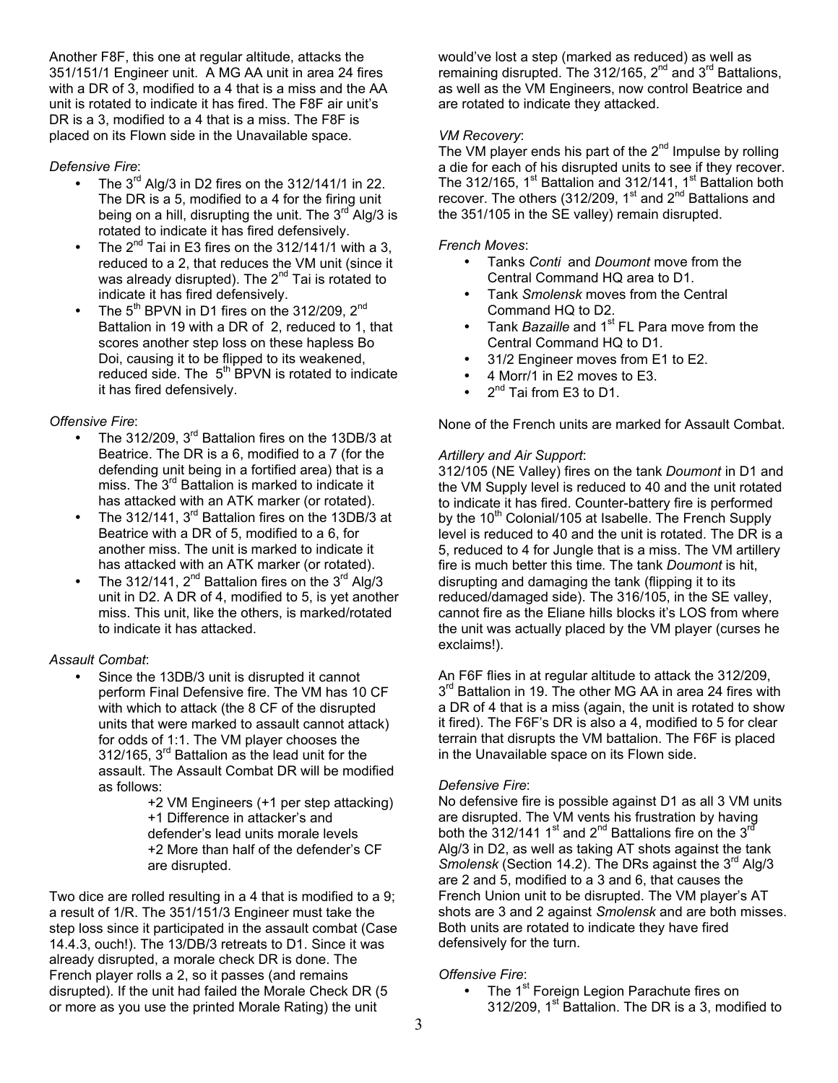Another F8F, this one at regular altitude, attacks the 351/151/1 Engineer unit. A MG AA unit in area 24 fires with a DR of 3, modified to a 4 that is a miss and the AA unit is rotated to indicate it has fired. The F8F air unit's DR is a 3, modified to a 4 that is a miss. The F8F is placed on its Flown side in the Unavailable space.

# *Defensive Fire*:

- The  $3^{rd}$  Alg/3 in D2 fires on the 312/141/1 in 22. The DR is a 5, modified to a 4 for the firing unit being on a hill, disrupting the unit. The  $3<sup>rd</sup>$  Alg/3 is rotated to indicate it has fired defensively.
- The  $2^{nd}$  Tai in E3 fires on the 312/141/1 with a 3, reduced to a 2, that reduces the VM unit (since it was already disrupted). The  $2^{nd}$  Tai is rotated to indicate it has fired defensively.
- The  $5^{th}$  BPVN in D1 fires on the 312/209,  $2^{nd}$ Battalion in 19 with a DR of 2, reduced to 1, that scores another step loss on these hapless Bo Doi, causing it to be flipped to its weakened, reduced side. The  $5<sup>th</sup>$  BPVN is rotated to indicate it has fired defensively.

# *Offensive Fire*:

- The 312/209, 3<sup>rd</sup> Battalion fires on the 13DB/3 at Beatrice. The DR is a 6, modified to a 7 (for the defending unit being in a fortified area) that is a miss. The  $3<sup>rd</sup>$  Battalion is marked to indicate it has attacked with an ATK marker (or rotated).
- The 312/141,  $3^{rd}$  Battalion fires on the 13DB/3 at Beatrice with a DR of 5, modified to a 6, for another miss. The unit is marked to indicate it has attacked with an ATK marker (or rotated).
- The 312/141,  $2^{nd}$  Battalion fires on the 3<sup>rd</sup> Alg/3 unit in D2. A DR of 4, modified to 5, is yet another miss. This unit, like the others, is marked/rotated to indicate it has attacked.

# *Assault Combat*:

Since the 13DB/3 unit is disrupted it cannot perform Final Defensive fire. The VM has 10 CF with which to attack (the 8 CF of the disrupted units that were marked to assault cannot attack) for odds of 1:1. The VM player chooses the 312/165, 3rd Battalion as the lead unit for the assault. The Assault Combat DR will be modified as follows:

+2 VM Engineers (+1 per step attacking) +1 Difference in attacker's and defender's lead units morale levels +2 More than half of the defender's CF are disrupted.

Two dice are rolled resulting in a 4 that is modified to a 9; a result of 1/R. The 351/151/3 Engineer must take the step loss since it participated in the assault combat (Case 14.4.3, ouch!). The 13/DB/3 retreats to D1. Since it was already disrupted, a morale check DR is done. The French player rolls a 2, so it passes (and remains disrupted). If the unit had failed the Morale Check DR (5 or more as you use the printed Morale Rating) the unit

would've lost a step (marked as reduced) as well as remaining disrupted. The  $312/165$ ,  $2^{nd}$  and  $3^{rd}$  Battalions, as well as the VM Engineers, now control Beatrice and are rotated to indicate they attacked.

# *VM Recovery*:

The VM player ends his part of the  $2<sup>nd</sup>$  Impulse by rolling a die for each of his disrupted units to see if they recover. The 312/165,  $1<sup>st</sup>$  Battalion and 312/141,  $1<sup>st</sup>$  Battalion both recover. The others (312/209, 1<sup>st</sup> and 2<sup>nd</sup> Battalions and the 351/105 in the SE valley) remain disrupted.

# *French Moves*:

- Tanks *Conti* and *Doumont* move from the Central Command HQ area to D1.
- Tank *Smolensk* moves from the Central Command HQ to D2.
- Tank *Bazaille* and 1<sup>st</sup> FL Para move from the Central Command HQ to D1.
- 31/2 Engineer moves from E1 to E2.
- 4 Morr/1 in E2 moves to E3.
- $\bullet$   $2^{nd}$  Tai from E3 to D1.

None of the French units are marked for Assault Combat.

# *Artillery and Air Support*:

312/105 (NE Valley) fires on the tank *Doumont* in D1 and the VM Supply level is reduced to 40 and the unit rotated to indicate it has fired. Counter-battery fire is performed by the 10<sup>th</sup> Colonial/105 at Isabelle. The French Supply level is reduced to 40 and the unit is rotated. The DR is a 5, reduced to 4 for Jungle that is a miss. The VM artillery fire is much better this time. The tank *Doumont* is hit, disrupting and damaging the tank (flipping it to its reduced/damaged side). The 316/105, in the SE valley, cannot fire as the Eliane hills blocks it's LOS from where the unit was actually placed by the VM player (curses he exclaims!).

An F6F flies in at regular altitude to attack the 312/209, 3<sup>rd</sup> Battalion in 19. The other MG AA in area 24 fires with a DR of 4 that is a miss (again, the unit is rotated to show it fired). The F6F's DR is also a 4, modified to 5 for clear terrain that disrupts the VM battalion. The F6F is placed in the Unavailable space on its Flown side.

# *Defensive Fire*:

No defensive fire is possible against D1 as all 3 VM units are disrupted. The VM vents his frustration by having both the 312/141 1<sup>st</sup> and 2<sup>nd</sup> Battalions fire on the 3<sup>rd</sup> Alg/3 in D2, as well as taking AT shots against the tank Smolensk (Section 14.2). The DRs against the 3<sup>rd</sup> Alg/3 are 2 and 5, modified to a 3 and 6, that causes the French Union unit to be disrupted. The VM player's AT shots are 3 and 2 against *Smolensk* and are both misses. Both units are rotated to indicate they have fired defensively for the turn.

# *Offensive Fire*:

• The 1<sup>st</sup> Foreign Legion Parachute fires on 312/209,  $1<sup>st</sup>$  Battalion. The DR is a 3, modified to